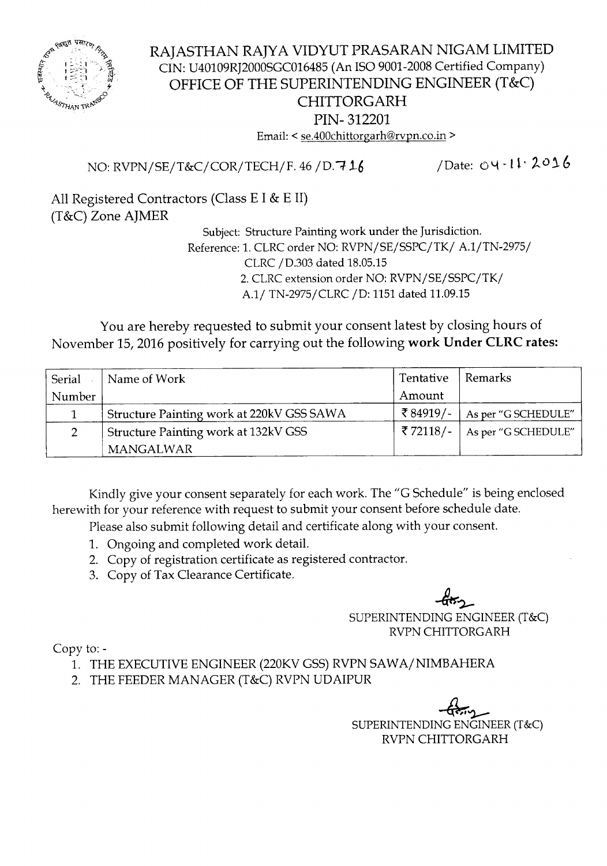

### RAJASTHAN RAJYA VIDYUT PRASARAN NIGAM LIMITED CIN: U40109RJ2000SGC016485 (An ISO 9001-2008 Certified Company) OFFICE OF THE SUPERINTENDING ENGINEER (T&C) CHITTORGARH PIN- 312201 Email: < se.400chittorgarh@rvpn.co.in >

NO: RVPN/SE/T&C/COR/TECH/F. 46 */D.i 1-6*

/Date: 04-11.2016

All Registered Contractors (Class E I & E II) (T&C) Zone AJMER

Subject: Structure Painting work under the Jurisdiction. Reference: 1. CLRC order NO: RVPN/SE/SSPC/TK/ A.1/TN-2975/ CLRC*jD.303* dated 18.05.15 2. CLRC extension order NO: RVPN/SE/SSPC/TK/ A.1/ TN-2975/CLRC / D: 1151 dated 11.09.15

You are hereby requested to submit your consent latest by closing hours of November 15, 2016 positively for carrying out the following work Under CLRC rates:

| Serial | Name of Work                              | Tentative   | Remarks             |
|--------|-------------------------------------------|-------------|---------------------|
| Number |                                           | Amount      |                     |
|        | Structure Painting work at 220kV GSS SAWA | ₹ 84919/-   | As per "G SCHEDULE" |
|        | Structure Painting work at 132kV GSS      | ₹ 72118/- ∣ | As per "G SCHEDULE" |
|        | <b>MANGALWAR</b>                          |             |                     |

Kindly give your consent separately for each work. The "G Schedule" is being enclosed herewith for your reference with request to submit your consent before schedule date.

Please also submit following detail and certificate along with your consent.

- 1. Ongoing and completed work detail.
- 2. Copy of registration certificate as registered contractor.
- 3. Copy of Tax Clearance Certificate.

 $-6$ 

SUPERINTENDING ENGINEER (T&C) RVPNCHITTORGARH

Copy to:-

- 1. THE EXECUTIVE ENGINEER (220KV GSS) RVPN SAWA/ NIMBAHERA
- 2. THE FEEDER MANAGER (T&C) RVPN UDAIPUR

 $\frac{1}{\sqrt{2}}$ SUPERINTENDINGENGINEER(T&C) RVPN CHITTORGARH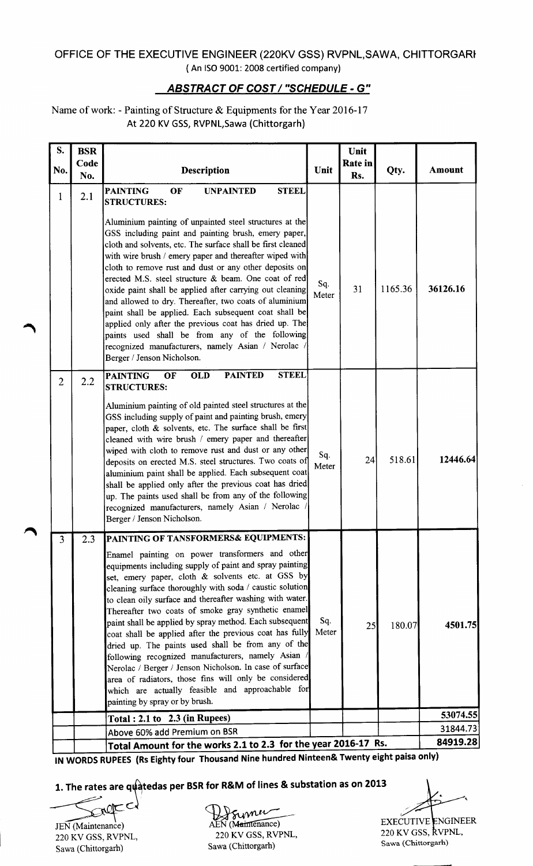#### OFFICE OF THE EXECUTIVE ENGINEER (220KV GSS) RVPNL,SAWA, CHITTORGARt ( An ISO 9001: 2008 certified company)

## *ABSTRACT* OF *COST/ "SCHEDULE -* G"

#### Name of work: - Painting of Structure & Equipments for the Year 2016-17 At 220 KV GSS, RVPNL, Sawa (Chittorgarh)

| No.<br>1<br>$\overline{2}$ | Code<br>No.<br>2.1 | Description<br><b>PAINTING</b><br>OF<br><b>STEEL</b><br><b>UNPAINTED</b><br><b>STRUCTURES:</b><br>Aluminium painting of unpainted steel structures at the<br>GSS including paint and painting brush, emery paper,<br>cloth and solvents, etc. The surface shall be first cleaned<br>with wire brush / emery paper and thereafter wiped with<br>cloth to remove rust and dust or any other deposits on<br>erected M.S. steel structure & beam. One coat of red<br>oxide paint shall be applied after carrying out cleaning<br>and allowed to dry. Thereafter, two coats of aluminium<br>paint shall be applied. Each subsequent coat shall be<br>applied only after the previous coat has dried up. The<br>paints used shall be from any of the following<br>recognized manufacturers, namely Asian / Nerolac                       | Unit<br>Sq.<br>Meter | Rate in<br>Rs.<br>31 | Qty.<br>1165.36 | <b>Amount</b><br>36126.16 |
|----------------------------|--------------------|------------------------------------------------------------------------------------------------------------------------------------------------------------------------------------------------------------------------------------------------------------------------------------------------------------------------------------------------------------------------------------------------------------------------------------------------------------------------------------------------------------------------------------------------------------------------------------------------------------------------------------------------------------------------------------------------------------------------------------------------------------------------------------------------------------------------------------|----------------------|----------------------|-----------------|---------------------------|
|                            |                    |                                                                                                                                                                                                                                                                                                                                                                                                                                                                                                                                                                                                                                                                                                                                                                                                                                    |                      |                      |                 |                           |
|                            |                    | Berger / Jenson Nicholson.                                                                                                                                                                                                                                                                                                                                                                                                                                                                                                                                                                                                                                                                                                                                                                                                         |                      |                      |                 |                           |
|                            | 2.2                | <b>STEEL</b><br><b>PAINTED</b><br><b>PAINTING</b><br>OF<br><b>OLD</b><br><b>STRUCTURES:</b><br>Aluminium painting of old painted steel structures at the<br>GSS including supply of paint and painting brush, emery<br>paper, cloth & solvents, etc. The surface shall be first<br>cleaned with wire brush / emery paper and thereafter<br>wiped with cloth to remove rust and dust or any other<br>deposits on erected M.S. steel structures. Two coats of<br>aluminium paint shall be applied. Each subsequent coat<br>shall be applied only after the previous coat has dried<br>up. The paints used shall be from any of the following<br>recognized manufacturers, namely Asian / Nerolac<br>Berger / Jenson Nicholson.                                                                                                       | Sq.<br>Meter         | 24                   | 518.61          | 12446.64                  |
| 3                          | 2.3                | PAINTING OF TANSFORMERS& EQUIPMENTS:<br>Enamel painting on power transformers and other<br>equipments including supply of paint and spray painting<br>set, emery paper, cloth & solvents etc. at GSS by<br>cleaning surface thoroughly with soda / caustic solution<br>to clean oily surface and thereafter washing with water.<br>Thereafter two coats of smoke gray synthetic enamel<br>paint shall be applied by spray method. Each subsequent<br>coat shall be applied after the previous coat has fully<br>dried up. The paints used shall be from any of the<br>following recognized manufacturers, namely Asian /<br>Nerolac / Berger / Jenson Nicholson. In case of surface<br>area of radiators, those fins will only be considered<br>which are actually feasible and approachable for<br>painting by spray or by brush. | Sq.<br>Meter         | 25                   | 180.07          | 4501.75                   |
|                            |                    | Total: $2.1$ to $2.3$ (in Rupees)                                                                                                                                                                                                                                                                                                                                                                                                                                                                                                                                                                                                                                                                                                                                                                                                  |                      |                      |                 | 53074.55                  |
|                            |                    | Above 60% add Premium on BSR                                                                                                                                                                                                                                                                                                                                                                                                                                                                                                                                                                                                                                                                                                                                                                                                       |                      |                      |                 | 31844.73<br>84919.28      |

IN WORDSRUPEES(RsEighty four Thousand Nine hundred Ninteen& Twenty eight paisaonly)

# 1. The rates are quatedas per BSR for R&M of lines & substation as on 2013

220 KV GSS, RVPNL, 220 KV GSS, RVPNL,

Erup Represent de la Propincie de la Propincie de la Propincie de la Propincie de la Propincie de la Propincie de la Propincie de la Propincie de la Propincie de la Propincie de la Propincie de la Propincie de la Propincie JEN (Maintenance) AEN (Maintenance)<br>220 KV GSS, RVPNL, 220 KV GSS, RVPNL, Sawa (Chittorgarh) Sawa (Chittorgarh) Sawa (Chittorgarh) Sawa (Chittorgarh) Sawa (Chittorgarh)

**EXECUTIVE ENGINEER** 220 KV GSS, RVPNL,